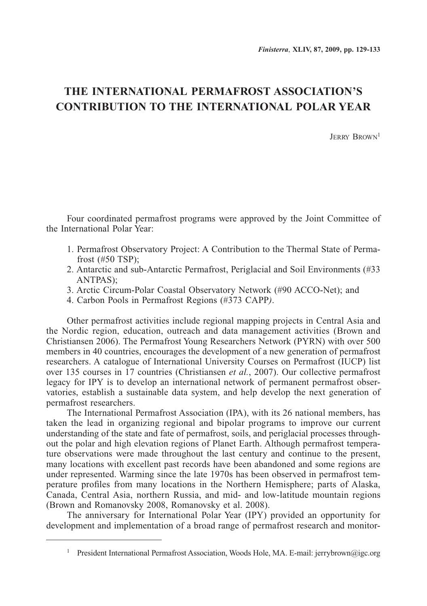## **THE INTERNATIONAL PERMAFROST ASSOCIATION'S CONTRIBUTION TO THE INTERNATIONAL POLAR YEAR**

Jerry Brown1

Four coordinated permafrost programs were approved by the Joint Committee of the International Polar Year:

- 1. Permafrost Observatory Project: A Contribution to the Thermal State of Permafrost (#50 TSP);
- 2. Antarctic and sub-Antarctic Permafrost, Periglacial and Soil Environments (#33 ANTPAS);
- 3. Arctic Circum-Polar Coastal Observatory Network (#90 ACCO-Net); and
- 4. Carbon Pools in Permafrost Regions (#373 CAPP*)*.

Other permafrost activities include regional mapping projects in Central Asia and the Nordic region, education, outreach and data management activities (Brown and Christiansen 2006). The Permafrost Young Researchers Network (PYRN) with over 500 members in 40 countries, encourages the development of a new generation of permafrost researchers. A catalogue of International University Courses on Permafrost (IUCP) list over 135 courses in 17 countries (Christiansen *et al.*, 2007). Our collective permafrost legacy for IPY is to develop an international network of permanent permafrost observatories, establish a sustainable data system, and help develop the next generation of permafrost researchers.

The International Permafrost Association (IPA), with its 26 national members, has taken the lead in organizing regional and bipolar programs to improve our current understanding of the state and fate of permafrost, soils, and periglacial processes throughout the polar and high elevation regions of Planet Earth. Although permafrost temperature observations were made throughout the last century and continue to the present, many locations with excellent past records have been abandoned and some regions are under represented. Warming since the late 1970s has been observed in permafrost temperature profiles from many locations in the Northern Hemisphere; parts of Alaska, Canada, Central Asia, northern Russia, and mid- and low-latitude mountain regions (Brown and Romanovsky 2008, Romanovsky et al. 2008).

The anniversary for International Polar Year (IPY) provided an opportunity for development and implementation of a broad range of permafrost research and monitor-

<sup>&</sup>lt;sup>1</sup> President International Permafrost Association, Woods Hole, MA. E-mail: jerrybrown@igc.org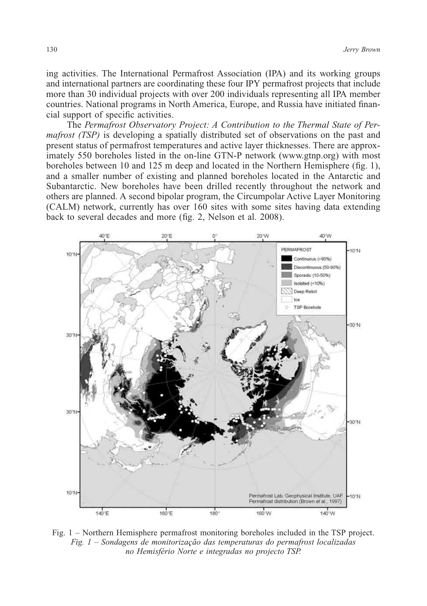ing activities. The International Permafrost Association (IPA) and its working groups and international partners are coordinating these four IPY permafrost projects that include more than 30 individual projects with over 200 individuals representing all IPA member countries. National programs in North America, Europe, and Russia have initiated financial support of specific activities.

The *Permafrost Observatory Project: A Contribution to the Thermal State of Permafrost (TSP)* is developing a spatially distributed set of observations on the past and present status of permafrost temperatures and active layer thicknesses. There are approximately 550 boreholes listed in the on-line GTN-P network (www.gtnp.org) with most boreholes between 10 and 125 m deep and located in the Northern Hemisphere (fig. 1), and a smaller number of existing and planned boreholes located in the Antarctic and Subantarctic. New boreholes have been drilled recently throughout the network and others are planned. A second bipolar program, the Circumpolar Active Layer Monitoring (CALM) network, currently has over 160 sites with some sites having data extending back to several decades and more (fig. 2, Nelson et al. 2008).



Fig. 1 – Northern Hemisphere permafrost monitoring boreholes included in the TSP project. *Fig. 1 – Sondagens de monitorização das temperaturas do permafrost localizadas no Hemisfério Norte e integradas no projecto TSP.*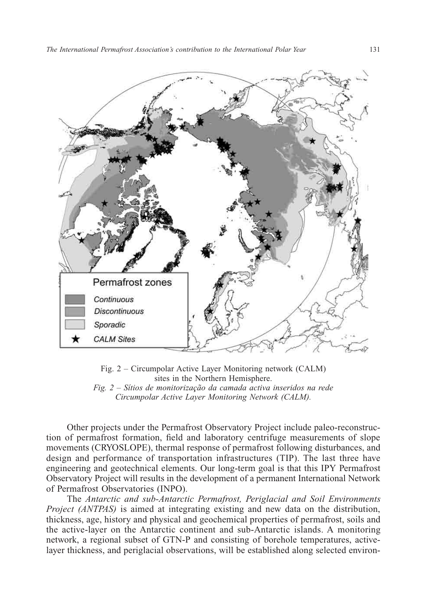

Fig. 2 – Circumpolar Active Layer Monitoring network (CALM) sites in the Northern Hemisphere. *Fig. 2 – Sítios de monitorização da camada activa inseridos na rede Circumpolar Active Layer Monitoring Network (CALM).*

Other projects under the Permafrost Observatory Project include paleo-reconstruction of permafrost formation, field and laboratory centrifuge measurements of slope movements (CRYOSLOPE), thermal response of permafrost following disturbances, and design and performance of transportation infrastructures (TIP). The last three have engineering and geotechnical elements. Our long-term goal is that this IPY Permafrost Observatory Project will results in the development of a permanent International Network of Permafrost Observatories (INPO).

The *Antarctic and sub-Antarctic Permafrost, Periglacial and Soil Environments Project (ANTPAS)* is aimed at integrating existing and new data on the distribution, thickness, age, history and physical and geochemical properties of permafrost, soils and the active-layer on the Antarctic continent and sub-Antarctic islands. A monitoring network, a regional subset of GTN-P and consisting of borehole temperatures, activelayer thickness, and periglacial observations, will be established along selected environ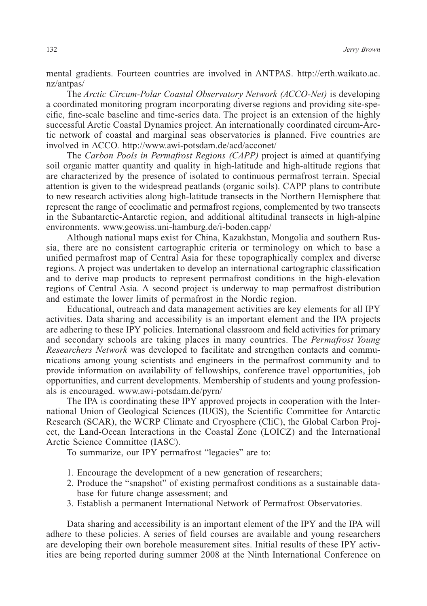mental gradients. Fourteen countries are involved in ANTPAS. http://erth.waikato.ac. nz/antpas/

The *Arctic Circum-Polar Coastal Observatory Network (ACCO-Net)* is developing a coordinated monitoring program incorporating diverse regions and providing site-specific, fine-scale baseline and time-series data. The project is an extension of the highly successful Arctic Coastal Dynamics project. An internationally coordinated circum-Arctic network of coastal and marginal seas observatories is planned. Five countries are involved in ACCO. http://www.awi-potsdam.de/acd/acconet/

The *Carbon Pools in Permafrost Regions (CAPP)* project is aimed at quantifying soil organic matter quantity and quality in high-latitude and high-altitude regions that are characterized by the presence of isolated to continuous permafrost terrain. Special attention is given to the widespread peatlands (organic soils). CAPP plans to contribute to new research activities along high-latitude transects in the Northern Hemisphere that represent the range of ecoclimatic and permafrost regions, complemented by two transects in the Subantarctic-Antarctic region, and additional altitudinal transects in high-alpine environments. www.geowiss.uni-hamburg.de/i-boden.capp/

Although national maps exist for China, Kazakhstan, Mongolia and southern Russia, there are no consistent cartographic criteria or terminology on which to base a unified permafrost map of Central Asia for these topographically complex and diverse regions. A project was undertaken to develop an international cartographic classification and to derive map products to represent permafrost conditions in the high-elevation regions of Central Asia. A second project is underway to map permafrost distribution and estimate the lower limits of permafrost in the Nordic region.

Educational, outreach and data management activities are key elements for all IPY activities. Data sharing and accessibility is an important element and the IPA projects are adhering to these IPY policies. International classroom and field activities for primary and secondary schools are taking places in many countries. Th*e Permafrost Young Researchers Network* was developed to facilitate and strengthen contacts and communications among young scientists and engineers in the permafrost community and to provide information on availability of fellowships, conference travel opportunities, job opportunities, and current developments. Membership of students and young professionals is encouraged. www.awi-potsdam.de/pyrn/

The IPA is coordinating these IPY approved projects in cooperation with the International Union of Geological Sciences (IUGS), the Scientific Committee for Antarctic Research (SCAR), the WCRP Climate and Cryosphere (CliC), the Global Carbon Project, the Land-Ocean Interactions in the Coastal Zone (LOICZ) and the International Arctic Science Committee (IASC).

To summarize, our IPY permafrost "legacies" are to:

- 1. Encourage the development of a new generation of researchers;
- 2. Produce the "snapshot" of existing permafrost conditions as a sustainable database for future change assessment; and
- 3. Establish a permanent International Network of Permafrost Observatories.

Data sharing and accessibility is an important element of the IPY and the IPA will adhere to these policies. A series of field courses are available and young researchers are developing their own borehole measurement sites. Initial results of these IPY activities are being reported during summer 2008 at the Ninth International Conference on